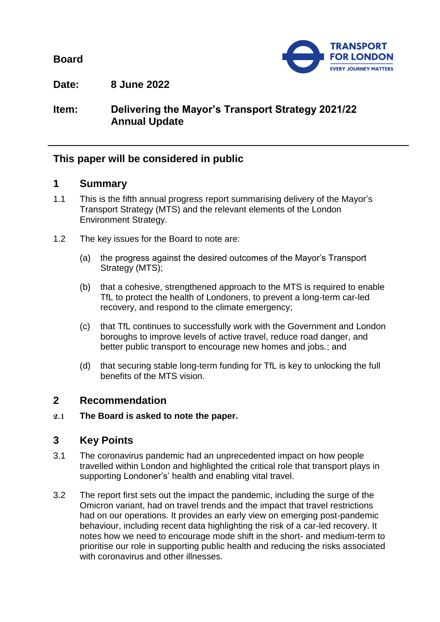**Board**



**Date: 8 June 2022**

# **Item: Delivering the Mayor's Transport Strategy 2021/22 Annual Update**

# **This paper will be considered in public**

#### **1 Summary**

- 1.1 This is the fifth annual progress report summarising delivery of the Mayor's Transport Strategy (MTS) and the relevant elements of the London Environment Strategy.
- 1.2 The key issues for the Board to note are:
	- (a) the progress against the desired outcomes of the Mayor's Transport Strategy (MTS);
	- (b) that a cohesive, strengthened approach to the MTS is required to enable TfL to protect the health of Londoners, to prevent a long-term car-led recovery, and respond to the climate emergency;
	- (c) that TfL continues to successfully work with the Government and London boroughs to improve levels of active travel, reduce road danger, and better public transport to encourage new homes and jobs.; and
	- (d) that securing stable long-term funding for TfL is key to unlocking the full benefits of the MTS vision.

## **2 Recommendation**

**2.1 The Board is asked to note the paper.**

## **3 Key Points**

- 3.1 The coronavirus pandemic had an unprecedented impact on how people travelled within London and highlighted the critical role that transport plays in supporting Londoner's' health and enabling vital travel.
- 3.2 The report first sets out the impact the pandemic, including the surge of the Omicron variant, had on travel trends and the impact that travel restrictions had on our operations. It provides an early view on emerging post-pandemic behaviour, including recent data highlighting the risk of a car-led recovery. It notes how we need to encourage mode shift in the short- and medium-term to prioritise our role in supporting public health and reducing the risks associated with coronavirus and other illnesses.